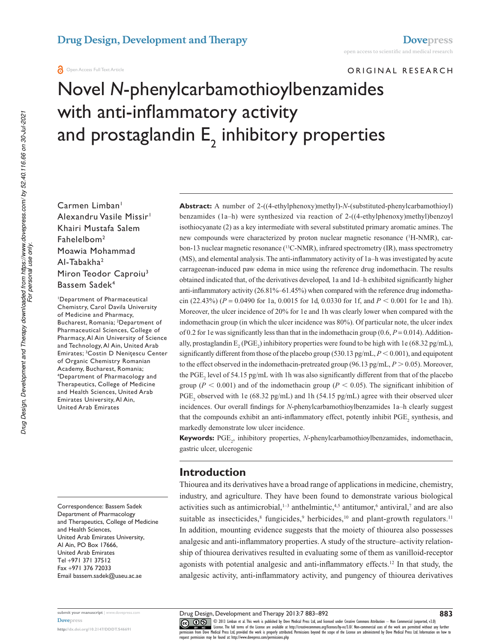Original research

# **Novel N-phenylcarbamothioylbenzamides** with anti-inflammatory activity and prostaglandin  $\mathsf{E}_{\mathsf{2}}$  inhibitory properties

Carmen Limban<sup>1</sup> Alexandru Vasile Missir<sup>1</sup> Khairi Mustafa salem Fahelelbom<sup>2</sup> Moawia Mohammad al-Tabakha<sup>2</sup> Miron Teodor Caproiu<sup>3</sup> Bassem Sadek<sup>4</sup>

<sup>1</sup>Department of Pharmaceutical chemistry, carol Davila University of Medicine and Pharmacy, Bucharest, Romania; <sup>2</sup>Department of Pharmaceutical Sciences, College of Pharmacy, Al Ain University of Science and Technology, Al Ain, United Arab Emirates; <sup>3</sup>Costin D Nenițescu Center of Organic Chemistry Romanian Academy, Bucharest, Romania; <sup>4</sup>Department of Pharmacology and Therapeutics, college of Medicine and Health Sciences, United Arab Emirates University, Al Ain, **United Arab Emirates** 

Correspondence: Bassem Sadek Department of Pharmacology and Therapeutics, college of Medicine and Health Sciences, United Arab Emirates University, al ain, PO Box 17666, United Arab Emirates Tel +971 371 37512 Fax +971 376 72033 email bassem.sadek@uaeu.ac.ae

**submit your manuscript** | www.dovepress.com **Dovepress** 

**http://dx.doi.org/10.2147/DDDT.S46691**

**Abstract:** A number of 2-((4-ethylphenoxy)methyl)-*N*-(substituted-phenylcarbamothioyl) benzamides (1a–h) were synthesized via reaction of 2-((4-ethylphenoxy)methyl)benzoyl isothiocyanate (2) as a key intermediate with several substituted primary aromatic amines. The new compounds were characterized by proton nuclear magnetic resonance (1H-NMR), carbon-13 nuclear magnetic resonance  $(^{13}C\text{-NMR})$ , infrared spectrometry (IR), mass spectrometry (MS), and elemental analysis. The anti-inflammatory activity of 1a–h was investigated by acute carrageenan-induced paw edema in mice using the reference drug indomethacin. The results obtained indicated that, of the derivatives developed, 1a and 1d–h exhibited significantly higher anti-inflammatory activity (26.81%–61.45%) when compared with the reference drug indomethacin (22.43%) ( $P = 0.0490$  for 1a, 0.0015 for 1d, 0.0330 for 1f, and  $P < 0.001$  for 1e and 1h). Moreover, the ulcer incidence of 20% for 1e and 1h was clearly lower when compared with the indomethacin group (in which the ulcer incidence was 80%). Of particular note, the ulcer index of 0.2 for 1e was significantly less than that in the indomethacin group (0.6,  $P = 0.014$ ). Additionally, prostaglandin  $E_2(PGE_2)$  inhibitory properties were found to be high with 1e (68.32 pg/mL), significantly different from those of the placebo group (530.13 pg/mL,  $P < 0.001$ ), and equipotent to the effect observed in the indomethacin-pretreated group (96.13 pg/mL,  $P > 0.05$ ). Moreover, the PGE<sub>2</sub> level of 54.15 pg/mL with 1h was also significantly different from that of the placebo group ( $P < 0.001$ ) and of the indomethacin group ( $P < 0.05$ ). The significant inhibition of PGE<sub>2</sub> observed with 1e (68.32 pg/mL) and 1h (54.15 pg/mL) agree with their observed ulcer incidences. Our overall findings for *N*-phenylcarbamothioylbenzamides 1a–h clearly suggest that the compounds exhibit an anti-inflammatory effect, potently inhibit  $PGE_2$  synthesis, and markedly demonstrate low ulcer incidence.

**Keywords:** PGE<sub>2</sub>, inhibitory properties, *N*-phenylcarbamothioylbenzamides, indomethacin, gastric ulcer, ulcerogenic

### **Introduction**

Thiourea and its derivatives have a broad range of applications in medicine, chemistry, industry, and agriculture. They have been found to demonstrate various biological activities such as antimicrobial,  $1-3$  anthelmintic,  $4-5$  antitumor,  $6$  antiviral,  $7$  and are also suitable as insecticides,<sup>8</sup> fungicides,<sup>9</sup> herbicides,<sup>10</sup> and plant-growth regulators.<sup>11</sup> In addition, mounting evidence suggests that the moiety of thiourea also possesses analgesic and anti-inflammatory properties. A study of the structure–activity relationship of thiourea derivatives resulted in evaluating some of them as vanilloid-receptor agonists with potential analgesic and anti-inflammatory effects.<sup>12</sup> In that study, the analgesic activity, anti-inflammatory activity, and pungency of thiourea derivatives

*For personal use only.*

**883**

CO ODI3 Limban et al. This work is published by Dove Medical Press Ltd, and licensed under Creative Commons Attribution - Non Commercial (unported, v3.0)<br>
permission from Dove Medical Press Ltd, provided the work is proper request permission may be found at: http://www.dovepress.com/permissions.php

Drug Design, Development and Therapy 2013:7 883–892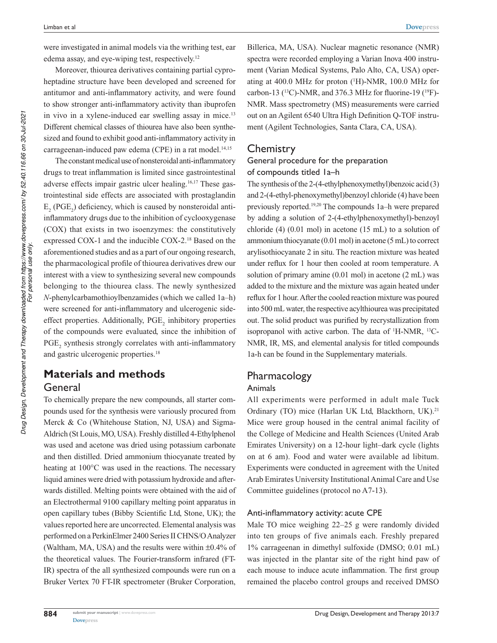Drug Design, Development and Therapy downloaded from https://www.dovepress.com/ by 52.40.116.66 on 30-Jul-2021<br>For personal use only. *Drug Design, Development and Therapy downloaded from https://www.dovepress.com/ by 52.40.116.66 on 30-Jul-2021 For personal use only.* were investigated in animal models via the writhing test, ear edema assay, and eye-wiping test, respectively.<sup>12</sup>

Moreover, thiourea derivatives containing partial cyproheptadine structure have been developed and screened for antitumor and anti-inflammatory activity, and were found to show stronger anti-inflammatory activity than ibuprofen in vivo in a xylene-induced ear swelling assay in mice.<sup>13</sup> Different chemical classes of thiourea have also been synthesized and found to exhibit good anti-inflammatory activity in carrageenan-induced paw edema (CPE) in a rat model.<sup>14,15</sup>

The constant medical use of nonsteroidal anti-inflammatory drugs to treat inflammation is limited since gastrointestinal adverse effects impair gastric ulcer healing.16,17 These gastrointestinal side effects are associated with prostaglandin  $E_2$  (PGE<sub>2</sub>) deficiency, which is caused by nonsteroidal anti inflammatory drugs due to the inhibition of cyclooxygenase (COX) that exists in two isoenzymes: the constitutively expressed COX-1 and the inducible COX-2.<sup>18</sup> Based on the aforementioned studies and as a part of our ongoing research, the pharmacological profile of thiourea derivatives drew our interest with a view to synthesizing several new compounds belonging to the thiourea class. The newly synthesized *N*-phenylcarbamothioylbenzamides (which we called 1a–h) were screened for anti-inflammatory and ulcerogenic sideeffect properties. Additionally,  $PGE_2$  inhibitory properties of the compounds were evaluated, since the inhibition of PGE<sub>2</sub> synthesis strongly correlates with anti-inflammatory and gastric ulcerogenic properties.<sup>18</sup>

# **Materials and methods** General

To chemically prepare the new compounds, all starter compounds used for the synthesis were variously procured from Merck & Co (Whitehouse Station, NJ, USA) and Sigma-Aldrich (St Louis, MO, USA). Freshly distilled 4-Ethylphenol was used and acetone was dried using potassium carbonate and then distilled. Dried ammonium thiocyanate treated by heating at 100°C was used in the reactions. The necessary liquid amines were dried with potassium hydroxide and afterwards distilled. Melting points were obtained with the aid of an Electrothermal 9100 capillary melting point apparatus in open capillary tubes (Bibby Scientific Ltd, Stone, UK); the values reported here are uncorrected. Elemental analysis was performed on a PerkinElmer 2400 Series II CHNS/O Analyzer (Waltham, MA, USA) and the results were within  $\pm 0.4\%$  of the theoretical values. The Fourier-transform infrared (FT-IR) spectra of the all synthesized compounds were run on a Bruker Vertex 70 FT-IR spectrometer (Bruker Corporation,  Billerica, MA, USA). Nuclear magnetic resonance (NMR) spectra were recorded employing a Varian Inova 400 instrument (Varian Medical Systems, Palo Alto, CA, USA) operating at 400.0 MHz for proton  $(^1H)$ -NMR, 100.0 MHz for carbon-13 ( $^{13}$ C)-NMR, and 376.3 MHz for fluorine-19 ( $^{19}$ F)-NMR. Mass spectrometry (MS) measurements were carried out on an Agilent 6540 Ultra High Definition Q-TOF instrument (Agilent Technologies, Santa Clara, CA, USA).

## **Chemistry**

### General procedure for the preparation of compounds titled 1a–h

The synthesis of the 2-(4-ethylphenoxymethyl)benzoic acid (3) and 2-(4-ethyl-phenoxymethyl)benzoyl chloride (4) have been previously reported.19,20 The compounds 1a–h were prepared by adding a solution of 2-(4-ethylphenoxymethyl)-benzoyl chloride (4) (0.01 mol) in acetone (15 mL) to a solution of ammonium thiocyanate (0.01 mol) in acetone (5 mL) to correct arylisothiocyanate 2 in situ. The reaction mixture was heated under reflux for 1 hour then cooled at room temperature. A solution of primary amine (0.01 mol) in acetone (2 mL) was added to the mixture and the mixture was again heated under reflux for 1 hour. After the cooled reaction mixture was poured into 500 mL water, the respective acylthiourea was precipitated out. The solid product was purified by recrystallization from isopropanol with active carbon. The data of  $H-MMR$ ,  $^{13}C-$ NMR, IR, MS, and elemental analysis for titled compounds 1a-h can be found in the Supplementary materials.

# Pharmacology

#### **Animals**

All experiments were performed in adult male Tuck Ordinary (TO) mice (Harlan UK Ltd, Blackthorn, UK).<sup>21</sup> Mice were group housed in the central animal facility of the College of Medicine and Health Sciences (United Arab Emirates University) on a 12-hour light–dark cycle (lights on at 6 am). Food and water were available ad libitum. Experiments were conducted in agreement with the United Arab Emirates University Institutional Animal Care and Use Committee guidelines (protocol no A7-13).

#### Anti-inflammatory activity: acute CPE

Male TO mice weighing 22–25 g were randomly divided into ten groups of five animals each. Freshly prepared 1% carrageenan in dimethyl sulfoxide (DMSO; 0.01 mL) was injected in the plantar site of the right hind paw of each mouse to induce acute inflammation. The first group remained the placebo control groups and received DMSO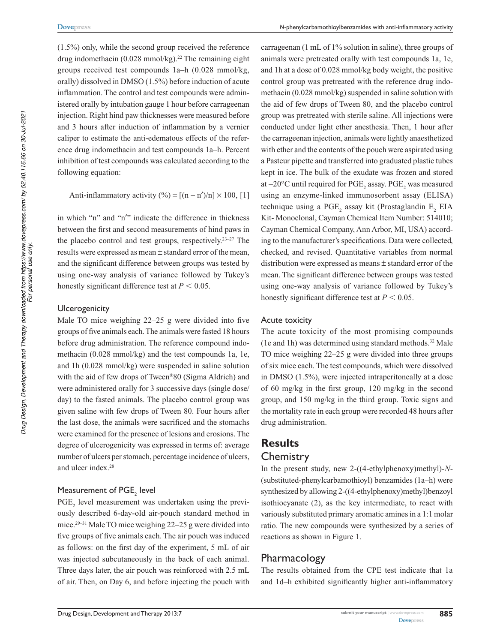(1.5%) only, while the second group received the reference drug indomethacin  $(0.028 \text{ mmol/kg})^{22}$  The remaining eight groups received test compounds 1a–h (0.028 mmol/kg, orally) dissolved in DMSO (1.5%) before induction of acute inflammation. The control and test compounds were administered orally by intubation gauge 1 hour before carrageenan injection. Right hind paw thicknesses were measured before and 3 hours after induction of inflammation by a vernier caliper to estimate the anti-edematous effects of the reference drug indomethacin and test compounds 1a–h. Percent inhibition of test compounds was calculated according to the following equation:

Anti-inflammatory activity  $(\%)=[(n-n')/n] \times 100, 1]$ 

in which "n" and "n′" indicate the difference in thickness between the first and second measurements of hind paws in the placebo control and test groups, respectively.<sup>23-27</sup> The results were expressed as mean ± standard error of the mean, and the significant difference between groups was tested by using one-way analysis of variance followed by Tukey's honestly significant difference test at  $P < 0.05$ .

#### **Ulcerogenicity**

Male TO mice weighing 22–25 g were divided into five groups of five animals each. The animals were fasted 18 hours before drug administration. The reference compound indomethacin (0.028 mmol/kg) and the test compounds 1a, 1e, and 1h (0.028 mmol/kg) were suspended in saline solution with the aid of few drops of Tween<sup>®</sup>80 (Sigma Aldrich) and were administered orally for 3 successive days (single dose/ day) to the fasted animals. The placebo control group was given saline with few drops of Tween 80. Four hours after the last dose, the animals were sacrificed and the stomachs were examined for the presence of lesions and erosions. The degree of ulcerogenicity was expressed in terms of: average number of ulcers per stomach, percentage incidence of ulcers, and ulcer index.<sup>28</sup>

### Measurement of  $\mathsf{PGE}_2$  level

PGE<sub>2</sub> level measurement was undertaken using the previously described 6-day-old air-pouch standard method in mice.29–31 Male TO mice weighing 22–25 g were divided into five groups of five animals each. The air pouch was induced as follows: on the first day of the experiment, 5 mL of air was injected subcutaneously in the back of each animal. Three days later, the air pouch was reinforced with 2.5 mL of air. Then, on Day 6, and before injecting the pouch with

 carrageenan (1 mL of 1% solution in saline), three groups of animals were pretreated orally with test compounds 1a, 1e, and 1h at a dose of 0.028 mmol/kg body weight, the positive control group was pretreated with the reference drug indomethacin (0.028 mmol/kg) suspended in saline solution with the aid of few drops of Tween 80, and the placebo control group was pretreated with sterile saline. All injections were conducted under light ether anesthesia. Then, 1 hour after the carrageenan injection, animals were lightly anaesthetized with ether and the contents of the pouch were aspirated using a Pasteur pipette and transferred into graduated plastic tubes kept in ice. The bulk of the exudate was frozen and stored at −20 $^{\circ}$ C until required for PGE<sub>2</sub> assay. PGE<sub>2</sub> was measured using an enzyme-linked immunosorbent assay (ELISA) technique using a  $PGE_2$  assay kit (Prostaglandin  $E_2$  EIA Kit- Monoclonal, Cayman Chemical Item Number: 514010; Cayman Chemical Company, Ann Arbor, MI, USA) according to the manufacturer's specifications. Data were collected, checked, and revised. Quantitative variables from normal distribution were expressed as means ± standard error of the mean. The significant difference between groups was tested using one-way analysis of variance followed by Tukey's honestly significant difference test at  $P < 0.05$ .

#### **Acute toxicity**

The acute toxicity of the most promising compounds (1e and 1h) was determined using standard methods.<sup>32</sup> Male TO mice weighing 22–25 g were divided into three groups of six mice each. The test compounds, which were dissolved in DMSO (1.5%), were injected intraperitoneally at a dose of 60 mg/kg in the first group, 120 mg/kg in the second group, and 150 mg/kg in the third group. Toxic signs and the mortality rate in each group were recorded 48 hours after drug administration.

# **Results Chemistry**

In the present study, new 2-((4-ethylphenoxy)methyl)-*N*- (substituted-phenylcarbamothioyl) benzamides (1a–h) were synthesized by allowing 2-((4-ethylphenoxy)methyl)benzoyl isothiocyanate (2), as the key intermediate, to react with variously substituted primary aromatic amines in a 1:1 molar ratio. The new compounds were synthesized by a series of reactions as shown in Figure 1.

#### Pharmacology

The results obtained from the CPE test indicate that 1a and 1d–h exhibited significantly higher anti-inflammatory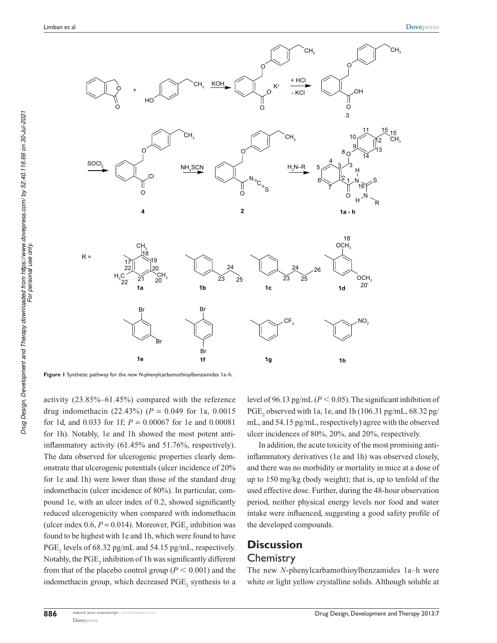

**Figure 1** synthetic pathway for the new *N*-phenylcarbamothioylbenzamides 1a–h.

 activity (23.85%–61.45%) compared with the reference drug indomethacin (22.43%) (*P* = 0.049 for 1a, 0.0015 for 1d, and 0.033 for 1f; *P* = 0.00067 for 1e and 0.00081 for 1h). Notably, 1e and 1h showed the most potent antiinflammatory activity (61.45% and 51.76%, respectively). The data observed for ulcerogenic properties clearly demonstrate that ulcerogenic potentials (ulcer incidence of 20% for 1e and 1h) were lower than those of the standard drug indomethacin (ulcer incidence of 80%). In particular, compound 1e, with an ulcer index of 0.2, showed significantly reduced ulcerogenicity when compared with indomethacin (ulcer index  $0.6, P = 0.014$ ). Moreover,  $PGE_2$  inhibition was found to be highest with 1e and 1h, which were found to have  $PGE_2$  levels of 68.32 pg/mL and 54.15 pg/mL, respectively. Notably, the  $\mathrm{PGE}_2$  inhibition of 1h was significantly different from that of the placebo control group ( $P < 0.001$ ) and the indomethacin group, which decreased  $PGE_2$  synthesis to a level of 96.13 pg/mL ( $P < 0.05$ ). The significant inhibition of PGE<sub>2</sub> observed with 1a, 1e, and 1h (106.31 pg/mL, 68.32 pg/ mL, and 54.15 pg/mL, respectively) agree with the observed ulcer incidences of 80%, 20%, and 20%, respectively.

In addition, the acute toxicity of the most promising antiinflammatory derivatives (1e and 1h) was observed closely, and there was no morbidity or mortality in mice at a dose of up to 150 mg/kg (body weight); that is, up to tenfold of the used effective dose. Further, during the 48-hour observation period, neither physical energy levels nor food and water intake were influenced, suggesting a good safety profile of the developed compounds.

### **Discussion Chemistry**

The new *N*-phenylcarbamothioylbenzamides 1a–h were white or light yellow crystalline solids. Although soluble at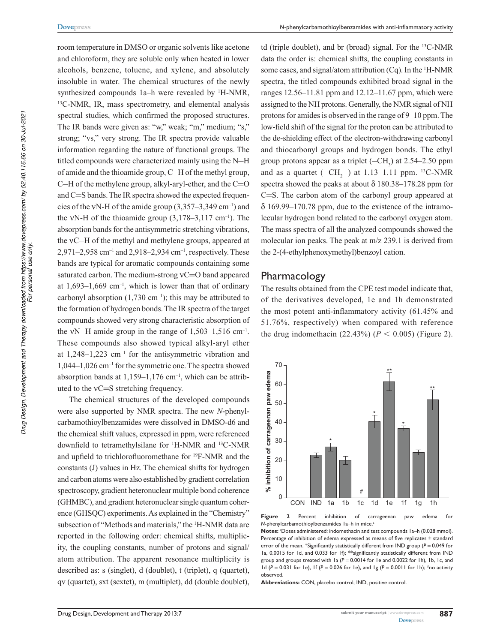room temperature in DMSO or organic solvents like acetone and chloroform, they are soluble only when heated in lower alcohols, benzene, toluene, and xylene, and absolutely insoluble in water. The chemical structures of the newly synthesized compounds 1a–h were revealed by <sup>1</sup>H-NMR, <sup>13</sup>C-NMR, IR, mass spectrometry, and elemental analysis spectral studies, which confirmed the proposed structures. The IR bands were given as: "w," weak; "m," medium; "s," strong; "vs," very strong. The IR spectra provide valuable information regarding the nature of functional groups. The titled compounds were characterized mainly using the N–H of amide and the thioamide group, C–H of the methyl group, C–H of the methylene group, alkyl-aryl-ether, and the C=O and C=S bands. The IR spectra showed the expected frequencies of the vN-H of the amide group  $(3,357-3,349 \text{ cm}^{-1})$  and the vN-H of the thioamide group  $(3,178-3,117 \text{ cm}^{-1})$ . The absorption bands for the antisymmetric stretching vibrations, the νC–H of the methyl and methylene groups, appeared at 2,971–2,958 cm<sup>-1</sup> and 2,918–2,934 cm<sup>-1</sup>, respectively. These bands are typical for aromatic compounds containing some saturated carbon. The medium-strong νC=O band appeared at  $1,693-1,669$  cm<sup>-1</sup>, which is lower than that of ordinary carbonyl absorption  $(1,730 \text{ cm}^{-1})$ ; this may be attributed to the formation of hydrogen bonds. The IR spectra of the target compounds showed very strong characteristic absorption of the vN–H amide group in the range of  $1,503-1,516$  cm<sup>-1</sup>. These compounds also showed typical alkyl-aryl ether at  $1,248-1,223$  cm<sup>-1</sup> for the antisymmetric vibration and 1,044–1,026 cm–1 for the symmetric one. The spectra showed absorption bands at  $1,159-1,176$  cm<sup>-1</sup>, which can be attributed to the νC=S stretching frequency.

The chemical structures of the developed compounds were also supported by NMR spectra. The new *N*-phenylcarbamothioylbenzamides were dissolved in DMSO-d6 and the chemical shift values, expressed in ppm, were referenced downfield to tetramethylsilane for <sup>1</sup>H-NMR and <sup>13</sup>C-NMR and upfield to trichlorofluoromethane for <sup>19</sup>F-NMR and the constants (J) values in Hz. The chemical shifts for hydrogen and carbon atoms were also established by gradient correlation spectroscopy, gradient heteronuclear multiple bond coherence (GHMBC), and gradient heteronuclear single quantum coherence (GHSQC) experiments. As explained in the "Chemistry" subsection of "Methods and materials," the <sup>1</sup>H-NMR data are reported in the following order: chemical shifts, multiplicity, the coupling constants, number of protons and signal/ atom attribution. The apparent resonance multiplicity is described as: s (singlet), d (doublet), t (triplet), q (quartet), qv (quartet), sxt (sextet), m (multiplet), dd (double doublet),

td (triple doublet), and br (broad) signal. For the <sup>13</sup>C-NMR data the order is: chemical shifts, the coupling constants in some cases, and signal/atom attribution  $(Cq)$ . In the <sup>1</sup>H-NMR spectra, the titled compounds exhibited broad signal in the ranges 12.56–11.81 ppm and 12.12–11.67 ppm, which were assigned to the NH protons. Generally, the NMR signal of NH protons for amides is observed in the range of 9–10 ppm. The low-field shift of the signal for the proton can be attributed to the de-shielding effect of the electron-withdrawing carbonyl and thiocarbonyl groups and hydrogen bonds. The ethyl group protons appear as a triplet  $(-CH<sub>3</sub>)$  at 2.54–2.50 ppm and as a quartet  $(-CH_2^-)$  at 1.13–1.11 ppm. <sup>13</sup>C-NMR spectra showed the peaks at about  $\delta$  180.38–178.28 ppm for C=S. The carbon atom of the carbonyl group appeared at δ 169.99–170.78 ppm, due to the existence of the intramolecular hydrogen bond related to the carbonyl oxygen atom. The mass spectra of all the analyzed compounds showed the molecular ion peaks. The peak at m/z 239.1 is derived from the 2-(4-ethylphenoxymethyl)benzoyl cation.

#### Pharmacology

The results obtained from the CPE test model indicate that, of the derivatives developed, 1e and 1h demonstrated the most potent anti-inflammatory activity (61.45% and 51.76%, respectively) when compared with reference the drug indomethacin  $(22.43\%) (P < 0.005)$  (Figure 2).



**Figure 2** Percent inhibition of carrageenan paw edema for *N*-phenylcarbamothioylbenzamides 1a-h in mice.<sup>8</sup>

Notes: <sup>a</sup>Doses administered: indomethacin and test compounds 1a-h (0.028 mmol). Percentage of inhibition of edema expressed as means of five replicates  $\pm$  standard error of the mean. \*Significantly statistically different from IND group (*P* = 0.049 for 1a, 0.0015 for 1d, and 0.033 for 1f); \*\*significantly statistically different from IND group and groups treated with 1a (*P* = 0.0014 for 1e and 0.0022 for 1h), 1b, 1c, and 1d (*P* = 0.031 for 1e), 1f (*P* = 0.026 for 1e), and 1g (*P* = 0.0011 for 1h); #no activity observed.

Abbreviations: CON, placebo control; IND, positive control.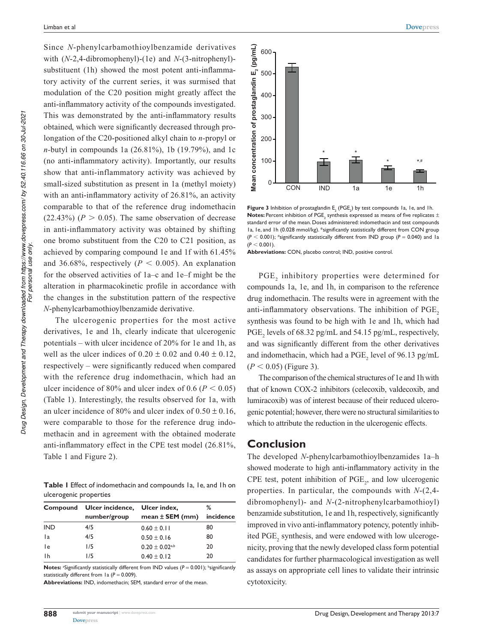Drug Design, Development and Therapy downloaded from https://www.dovepress.com/ by 52.40.116.66 on 30-Jul-2021<br>For personal use only. *Drug Design, Development and Therapy downloaded from https://www.dovepress.com/ by 52.40.116.66 on 30-Jul-2021 For personal use only.* Since *N*-phenylcarbamothioylbenzamide derivatives with (*N*-2,4-dibromophenyl)-(1e) and *N*-(3-nitrophenyl) substituent (1h) showed the most potent anti-inflammatory activity of the current series, it was surmised that modulation of the C20 position might greatly affect the anti-inflammatory activity of the compounds investigated. This was demonstrated by the anti-inflammatory results obtained, which were significantly decreased through prolongation of the C20-positioned alkyl chain to *n-*propyl or *n-*butyl in compounds 1a (26.81%), 1b (19.79%), and 1c (no anti-inflammatory activity). Importantly, our results show that anti-inflammatory activity was achieved by small-sized substitution as present in 1a (methyl moiety) with an anti-inflammatory activity of 26.81%, an activity comparable to that of the reference drug indomethacin  $(22.43\%)$  ( $P > 0.05$ ). The same observation of decrease in anti-inflammatory activity was obtained by shifting one bromo substituent from the C20 to C21 position, as achieved by comparing compound 1e and 1f with 61.45% and 36.68%, respectively ( $P < 0.005$ ). An explanation for the observed activities of 1a–c and 1e–f might be the alteration in pharmacokinetic profile in accordance with the changes in the substitution pattern of the respective *N*-phenylcarbamothioylbenzamide derivative.

The ulcerogenic properties for the most active derivatives, 1e and 1h, clearly indicate that ulcerogenic potentials – with ulcer incidence of 20% for 1e and 1h, as well as the ulcer indices of  $0.20 \pm 0.02$  and  $0.40 \pm 0.12$ , respectively – were significantly reduced when compared with the reference drug indomethacin, which had an ulcer incidence of 80% and ulcer index of 0.6 ( $P < 0.05$ ) (Table 1). Interestingly, the results observed for 1a, with an ulcer incidence of 80% and ulcer index of  $0.50 \pm 0.16$ , were comparable to those for the reference drug indomethacin and in agreement with the obtained moderate anti-inflammatory effect in the CPE test model (26.81%, Table 1 and Figure 2).

Table I Effect of indomethacin and compounds 1a, 1e, and 1h on ulcerogenic properties

|            | Compound Ulcer incidence, Ulcer index, |                                | ℅         |
|------------|----------------------------------------|--------------------------------|-----------|
|            | number/group                           | mean $\pm$ SEM (mm)            | incidence |
| <b>IND</b> | 4/5                                    | $0.60 \pm 0.11$                | 80        |
| 1a         | 4/5                                    | $0.50 \pm 0.16$                | 80        |
| l e        | 1/5                                    | $0.20 \pm 0.02$ <sup>a,b</sup> | 20        |
| -l h       | 1/5                                    | $0.40 \pm 0.12$                | 20        |

Notes: <sup>a</sup>Significantly statistically different from IND values (P = 0.001); bignificantly statistically different from 1a ( $P = 0.009$ ).

Abbreviations: IND, indomethacin; SEM, standard error of the mean.



**Figure 3** Inhibition of prostaglandin  $E_{2}$  (PGE<sub>2</sub>) by test compounds 1a, 1e, and 1h.  ${\sf Notes}\!$  Percent inhibition of PGE<sub>2</sub> synthesis expressed as means of five replicates  $\pm$ standard error of the mean. Doses administered: indomethacin and test compounds 1a, 1e, and 1h (0.028 mmol/kg). \*significantly statistically different from CON group  $(P < 0.001)$ ; <sup>#</sup>significantly statistically different from IND group ( $P = 0.040$ ) and 1a  $(P < 0.001)$ .

Abbreviations: CON, placebo control; IND, positive control.

 $PGE_2$  inhibitory properties were determined for compounds 1a, 1e, and 1h, in comparison to the reference drug indomethacin. The results were in agreement with the anti-inflammatory observations. The inhibition of PGE<sub>2</sub> synthesis was found to be high with 1e and 1h, which had PGE<sub>2</sub> levels of 68.32 pg/mL and 54.15 pg/mL, respectively, and was significantly different from the other derivatives and indomethacin, which had a  $PGE_2$  level of 96.13 pg/mL  $(P < 0.05)$  (Figure 3).

The comparison of the chemical structures of 1e and 1h with that of known COX-2 inhibitors (celecoxib, valdecoxib, and lumiracoxib) was of interest because of their reduced ulcerogenic potential; however, there were no structural similarities to which to attribute the reduction in the ulcerogenic effects.

#### **Conclusion**

The developed *N*-phenylcarbamothioylbenzamides 1a–h showed moderate to high anti-inflammatory activity in the CPE test, potent inhibition of  $PGE<sub>2</sub>$ , and low ulcerogenic properties. In particular, the compounds with *N*-(2,4 dibromophenyl)- and *N*-(2-nitrophenylcarbamothioyl) benzamide substitution, 1e and 1h, respectively, significantly improved in vivo anti-inflammatory potency, potently inhibited  $PGE_2$  synthesis, and were endowed with low ulcerogenicity, proving that the newly developed class form potential candidates for further pharmacological investigation as well as assays on appropriate cell lines to validate their intrinsic cytotoxicity.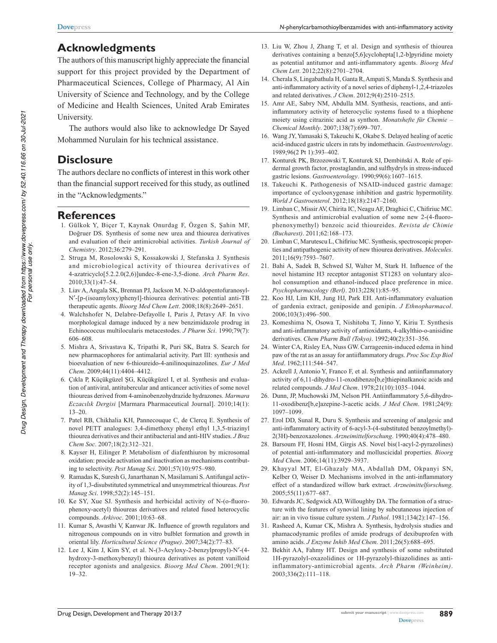# **Acknowledgments**

The authors of this manuscript highly appreciate the financial support for this project provided by the Department of Pharmaceutical Sciences, College of Pharmacy, Al Ain University of Science and Technology, and by the College of Medicine and Health Sciences, United Arab Emirates University.

The authors would also like to acknowledge Dr Sayed Mohammed Nurulain for his technical assistance.

### **Disclosure**

The authors declare no conflicts of interest in this work other than the financial support received for this study, as outlined in the "Acknowledgments."

#### **References**

- 1. Gülkok Y, Biçer T, Kaynak Onurdag F, Özgen S, Şahin MF, Doğruer DS. Synthesis of some new urea and thiourea derivatives and evaluation of their antimicrobial activities. *Turkish Journal of Chemistry*. 2012;36:279–291.
- 2. Struga M, Rosolowski S, Kossakowski J, Stefanska J. Synthesis and microbiological activity of thiourea derivatives of 4-azatricyclo[5.2.2.0(2,6)]undec-8-ene-3,5-dione. *Arch Pharm Res*. 2010;33(1):47–54.
- 3. Liav A, Angala SK, Brennan PJ, Jackson M. N-D-aldopentofuranosyl-N′-[p-(isoamyloxy)phenyl]-thiourea derivatives: potential anti-TB therapeutic agents. *Bioorg Med Chem Lett*. 2008;18(8):2649–2651.
- 4. Walchshofer N, Delabre-Defayolle I, Paris J, Petavy AF. In vivo morphological damage induced by a new benzimidazole prodrug in Echinococcus multilocularis metacestodes. *J Pharm Sci*. 1990;79(7): 606–608.
- 5. Mishra A, Srivastava K, Tripathi R, Puri SK, Batra S. Search for new pharmacophores for antimalarial activity. Part III: synthesis and bioevaluation of new 6-thioureido-4-anilinoquinazolines. *Eur J Med Chem*. 2009;44(11):4404–4412.
- 6. Çıkla P, Küçükgüzel ŞG, Küçükgüzel I, et al. Synthesis and evaluation of antiviral, antitubercular and anticancer activities of some novel thioureas derived from 4-aminobenzohydrazide hydrazones. *Marmara Eczacılık Dergisi* [Marmara Pharmaceutical Journal]. 2010;14(1): 13–20.
- 7. Patel RB, Chikhalia KH, Pannecouque C, de Clercq E. Synthesis of novel PETT analogues: 3,4-dimethoxy phenyl ethyl 1,3,5-triazinyl thiourea derivatives and their antibacterial and anti-HIV studies. *J Braz Chem Soc*. 2007;18(2):312–321.
- 8. Kayser H, Eilinger P. Metabolism of diafenthiuron by microsomal oxidation: procide activation and inactivation as mechanisms contributing to selectivity. *Pest Manag Sci*. 2001;57(10):975–980.
- 9. Ramadas K, Suresh G, Janarthanan N, Masilamani S. Antifungal activity of 1,3-disubstituted symmetrical and unsymmetrical thioureas. *Pest Manag Sci*. 1998;52(2):145–151.
- 10. Ke SY, Xue SJ. Synthesis and herbicidal activity of N-(o-fluorophenoxy-acetyl) thioureas derivatives and related fused heterocyclic compounds. *Arkivoc*. 2001;10:63–68.
- 11. Kumar S, Awasthi V, Kanwar JK. Influence of growth regulators and nitrogenous compounds on in vitro bulblet formation and growth in oriental lily. *Horticultural Science (Prague)*. 2007;34(2):77–83.
- 12. Lee J, Kim J, Kim SY, et al. N-(3-Acyloxy-2-benzylpropyl)-N′-(4 hydroxy-3-methoxybenzyl) thiourea derivatives as potent vanilloid receptor agonists and analgesics. *Bioorg Med Chem*. 2001;9(1): 19–32.
- 13. Liu W, Zhou J, Zhang T, et al. Design and synthesis of thiourea derivatives containing a benzo[5,6]cyclohepta[1,2-b]pyridine moiety as potential antitumor and anti-inflammatory agents. *Bioorg Med Chem Lett*. 2012;22(8):2701–2704.
- 14. Cherala S, Lingabathula H, Ganta R, Ampati S, Manda S. Synthesis and anti-inflammatory activity of a novel series of diphenyl-1,2,4-triazoles and related derivatives. *J Chem*. 2012;9(4):2510–2515.
- 15. Amr AE, Sabry NM, Abdulla MM. Synthesis, reactions, and antiinflammatory activity of heterocyclic systems fused to a thiophene moiety using citrazinic acid as synthon. *Monatshefte für Chemie – Chemical Monthly*. 2007;138(7):699–707.
- 16. Wang JY, Yamasaki S, Takeuchi K, Okabe S. Delayed healing of acetic acid-induced gastric ulcers in rats by indomethacin. *Gastroenterology*. 1989;96(2 Pt 1):393–402.
- 17. Konturek PK, Brzozowski T, Konturek SJ, Dembiński A. Role of epidermal growth factor, prostaglandin, and sulfhydryls in stress-induced gastric lesions. *Gastroenterology*. 1990;99(6):1607–1615.
- 18. Takeuchi K. Pathogenesis of NSAID-induced gastric damage: importance of cyclooxygenase inhibition and gastric hypermotility. *World J Gastroenterol*. 2012;18(18):2147–2160.
- 19. Limban C, Missir AV, Chirita IC, Neagu AF, Draghici C, Chifiriuc MC. Synthesis and antimicrobial evaluation of some new 2-(4-fluoro phenoxymethyl) benzoic acid thioureides. *Revista de Chimie (Bucharest)*. 2011;62:168–173.
- 20. Limban C, Marutescu L, Chifiriuc MC. Synthesis, spectroscopic properties and antipathogenic activity of new thiourea derivatives. *Molecules*. 2011;16(9):7593–7607.
- 21. Bahi A, Sadek B, Schwed SJ, Walter M, Stark H. Influence of the novel histamine H3 receptor antagonist ST1283 on voluntary alcohol consumption and ethanol-induced place preference in mice. *Psychopharmacology (Berl)*. 2013;228(1):85–95.
- 22. Koo HJ, Lim KH, Jung HJ, Park EH. Anti-inflammatory evaluation of gardenia extract, geniposide and genipin. *J Ethnopharmacol*. 2006;103(3):496–500.
- 23. Komeshima N, Osowa T, Nishitoba T, Jinno Y, Kiriu T. Synthesis and anti-inflammatory activity of antioxidants, 4-alkylthio-o-anisidine derivatives. *Chem Pharm Bull (Tokyo)*. 1992;40(2):351–356.
- 24. Winter CA, Risley EA, Nuss GW. Carrageenin-induced edema in hind paw of the rat as an assay for antiiflammatory drugs. *Proc Soc Exp Biol Med*. 1962;111:544–547.
- 25. Ackrell J, Antonio Y, Franco F, et al. Synthesis and antiinflammatory activity of 6,11-dihydro-11-oxodibenzo[b,e]thiepinalkanoic acids and related compounds. *J Med Chem*. 1978;21(10):1035–1044.
- 26. Dunn, JP, Muchowski JM, Nelson PH. Antiinflammatory 5,6-dihydro-11-oxodibenz[b,e]azepine-3-acetic acids. *J Med Chem*. 1981;24(9): 1097–1099.
- 27. Erol DD, Sunal R, Duru S. Synthesis and screening of analgesic and anti-inflammatory activity of 6-acyl-3-(4-substituted benzoylmethyl)- 2(3H)-benzoxazolones. *Arzneimittelforschung*. 1990;40(4):478–480.
- 28. Barsoum FF, Hosni HM, Girgis AS. Novel bis(1-acyl-2-pyrazolines) of potential anti-inflammatory and molluscicidal properties. *Bioorg Med Chem*. 2006;14(11):3929–3937.
- 29. Khayyal MT, El-Ghazaly MA, Abdallah DM, Okpanyi SN, Kelber O, Weiser D. Mechanisms involved in the anti-inflammatory effect of a standardized willow bark extract. *Arzneimittelforschung*. 2005;55(11):677–687.
- 30. Edwards JC, Sedgwick AD, Willoughby DA. The formation of a structure with the features of synovial lining by subcutaneous injection of air: an in vivo tissue culture system. *J Pathol*. 1981;134(2):147–156.
- 31. Rasheed A, Kumar CK, Mishra A. Synthesis, hydrolysis studies and phamacodynamic profiles of amide prodrugs of dexibuprofen with amino acids. *J Enzyme Inhib Med Chem*. 2011;26(5):688–695.
- 32. Bekhit AA, Fahmy HT. Design and synthesis of some substituted 1H-pyrazolyl-oxazolidines or 1H-pyrazolyl-thiazolidines as antiinflammatory-antimicrobial agents. *Arch Pharm (Weinheim)*. 2003;336(2):111–118.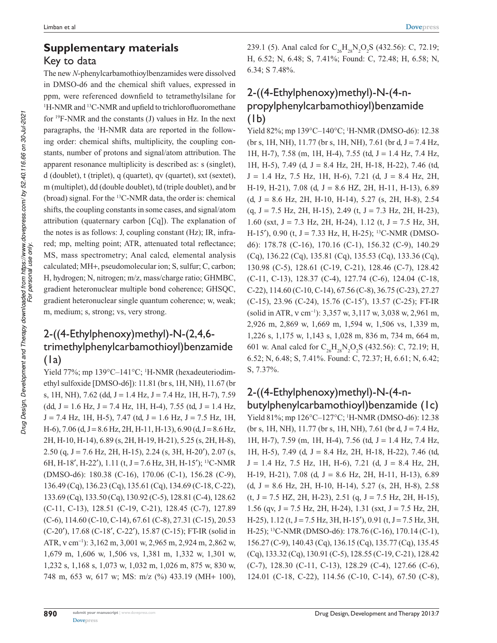# **Supplementary materials** Key to data

The new *N*-phenylcarbamothioylbenzamides were dissolved in DMSO-d6 and the chemical shift values, expressed in ppm, were referenced downfield to tetramethylsilane for <sup>1</sup>H-NMR and <sup>13</sup>C-NMR and upfield to trichlorofluoromethane for <sup>19</sup>F-NMR and the constants (J) values in Hz. In the next paragraphs, the 1H-NMR data are reported in the following order: chemical shifts, multiplicity, the coupling constants, number of protons and signal/atom attribution. The apparent resonance multiplicity is described as: s (singlet), d (doublet), t (triplet), q (quartet), qv (quartet), sxt (sextet), m (multiplet), dd (double doublet), td (triple doublet), and br (broad) signal. For the <sup>13</sup>C-NMR data, the order is: chemical shifts, the coupling constants in some cases, and signal/atom attribution (quaternary carbon [Cq]). The explanation of the notes is as follows: J, coupling constant (Hz); IR, infrared; mp, melting point; ATR, attenuated total reflectance; MS, mass spectrometry; Anal calcd, elemental analysis calculated; MH+, pseudomolecular ion; S, sulfur; C, carbon; H, hydrogen; N, nitrogen; m/z, mass/charge ratio; GHMBC, gradient heteronuclear multiple bond coherence; GHSQC, gradient heteronuclear single quantum coherence; w, weak; m, medium; s, strong; vs, very strong.

# $2-((4-Ethylphenoxy)$ methyl $)-N-(2,4,6$ trimethylphenylcarbamothioyl)benzamide (1a)

Yield 77%; mp 139°C-141°C; <sup>1</sup>H-NMR (hexadeuteriodimethyl sulfoxide [DMSO-d6]): 11.81 (br s, 1H, NH), 11.67 (br s, 1H, NH), 7.62 (dd, J = 1.4 Hz, J = 7.4 Hz, 1H, H-7), 7.59  $(dd, J = 1.6 Hz, J = 7.4 Hz, 1H, H-4), 7.55 (td, J = 1.4 Hz,$  $J = 7.4$  Hz, 1H, H-5), 7.47 (td,  $J = 1.6$  Hz,  $J = 7.5$  Hz, 1H,  $H=6$ ), 7.06 (d, J = 8.6 Hz, 2H, H-11, H-13), 6.90 (d, J = 8.6 Hz, 2H, H-10, H-14), 6.89 (s, 2H, H-19, H-21), 5.25 (s, 2H, H-8), 2.50 (q, J = 7.6 Hz, 2H, H-15), 2.24 (s, 3H, H-20′), 2.07 (s, 6H, H-18', H-22'), 1.11 (t, J = 7.6 Hz, 3H, H-15'); <sup>13</sup>C-NMR (DMSO-d6): 180.38 (C-16), 170.06 (C-1), 156.28 (C-9), 136.49 (Cq), 136.23 (Cq), 135.61 (Cq), 134.69 (C-18, C-22), 133.69 (Cq), 133.50 (Cq), 130.92 (C-5), 128.81 (C-4), 128.62 (C-11, C-13), 128.51 (C-19, C-21), 128.45 (C-7), 127.89 (C-6), 114.60 (C-10, C-14), 67.61 (C-8), 27.31 (C-15), 20.53 (C-20′), 17.68 (C-18′, C-22′), 15.87 (C-15); FT-IR (solid in ATR, v cm<sup>-1</sup>): 3,162 m, 3,001 w, 2,965 m, 2,924 m, 2,862 w, 1,679 m, 1,606 w, 1,506 vs, 1,381 m, 1,332 w, 1,301 w, 1,232 s, 1,168 s, 1,073 w, 1,032 m, 1,026 m, 875 w, 830 w, 748 m, 653 w, 617 w; MS: m/z (%) 433.19 (MH+ 100),

239.1 (5). Anal calcd for  $C_{26}H_{28}N_2O_2S$  (432.56): C, 72.19; H, 6.52; N, 6.48; S, 7.41%; Found: C, 72.48; H, 6.58; N, 6.34; S 7.48%.

# 2-((4-Ethylphenoxy)methyl)-N-(4-npropylphenylcarbamothioyl)benzamide (1b)

Yield 82%; mp 139°C-140°C; <sup>1</sup>H-NMR (DMSO-d6): 12.38 (br s, 1H, NH), 11.77 (br s, 1H, NH), 7.61 (br d, J = 7.4 Hz, 1H, H-7),  $7.58$  (m, 1H, H-4),  $7.55$  (td,  $J = 1.4$  Hz,  $7.4$  Hz, 1H, H-5), 7.49 (d, J = 8.4 Hz, 2H, H-18, H-22), 7.46 (td,  $J = 1.4$  Hz, 7.5 Hz, 1H, H-6), 7.21 (d,  $J = 8.4$  Hz, 2H, H-19, H-21), 7.08 (d,  $J = 8.6$  HZ, 2H, H-11, H-13), 6.89  $(d, J = 8.6 \text{ Hz}, 2H, H-10, H-14), 5.27 \text{ (s, 2H, H-8)}, 2.54$  $(q, J = 7.5 \text{ Hz}, 2H, H-15), 2.49 \text{ (t, } J = 7.3 \text{ Hz}, 2H, H-23),$ 1.60 (sxt,  $J = 7.3$  Hz, 2H, H-24), 1.12 (t,  $J = 7.5$  Hz, 3H, H-15'), 0.90 (t, J = 7.33 Hz, H, H-25); <sup>13</sup>C-NMR (DMSOd6): 178.78 (C-16), 170.16 (C-1), 156.32 (C-9), 140.29 (Cq), 136.22 (Cq), 135.81 (Cq), 135.53 (Cq), 133.36 (Cq), 130.98 (C-5), 128.61 (C-19, C-21), 128.46 (C-7), 128.42 (C-11, C-13), 128.37 (C-4), 127.74 (C-6), 124.04 (C-18, C-22), 114.60 (C-10, C-14), 67.56 (C-8), 36.75 (C-23), 27.27 (C-15), 23.96 (C-24), 15.76 (C-15′), 13.57 (C-25); FT-IR (solid in ATR, v cm<sup>-1</sup>): 3,357 w, 3,117 w, 3,038 w, 2,961 m, 2,926 m, 2,869 w, 1,669 m, 1,594 w, 1,506 vs, 1,339 m, 1,226 s, 1,175 w, 1,143 s, 1,028 m, 836 m, 734 m, 664 m, 601 w. Anal calcd for  $C_{26}H_{28}N_2O_2S$  (432.56): C, 72.19; H, 6.52; N, 6.48; S, 7.41%. Found: C, 72.37; H, 6.61; N, 6.42; S, 7.37%.

# 2-((4-Ethylphenoxy)methyl)-N-(4-nbutylphenylcarbamothioyl)benzamide (1c)

Yield 81%; mp 126°C-127°C; <sup>1</sup>H-NMR (DMSO-d6): 12.38 (br s, 1H, NH), 11.77 (br s, 1H, NH), 7.61 (br d,  $J = 7.4$  Hz, 1H, H-7), 7.59 (m, 1H, H-4), 7.56 (td, J = 1.4 Hz, 7.4 Hz, 1H, H-5), 7.49 (d, J = 8.4 Hz, 2H, H-18, H-22), 7.46 (td,  $J = 1.4$  Hz, 7.5 Hz, 1H, H-6), 7.21 (d,  $J = 8.4$  Hz, 2H, H-19, H-21), 7.08 (d, J = 8.6 Hz, 2H, H-11, H-13), 6.89  $(d, J = 8.6 \text{ Hz}, 2H, H-10, H-14), 5.27 \text{ (s, 2H, H-8)}, 2.58$  $(t, J = 7.5 \text{ Hz}, 2H, H-23), 2.51 \text{ (q, } J = 7.5 \text{ Hz}, 2H, H-15),$ 1.56 (qv,  $J = 7.5$  Hz, 2H, H-24), 1.31 (sxt,  $J = 7.5$  Hz, 2H, H-25), 1.12 (t, J = 7.5 Hz, 3H, H-15'), 0.91 (t, J = 7.5 Hz, 3H, H-25); <sup>13</sup>C-NMR (DMSO-d6): 178.76 (C-16), 170.14 (C-1), 156.27 (C-9), 140.43 (Cq), 136.15 (Cq), 135.77 (Cq), 135.45 (Cq), 133.32 (Cq), 130.91 (C-5), 128.55 (C-19, C-21), 128.42 (C-7), 128.30 (C-11, C-13), 128.29 (C-4), 127.66 (C-6), 124.01 (C-18, C-22), 114.56 (C-10, C-14), 67.50 (C-8),

**890**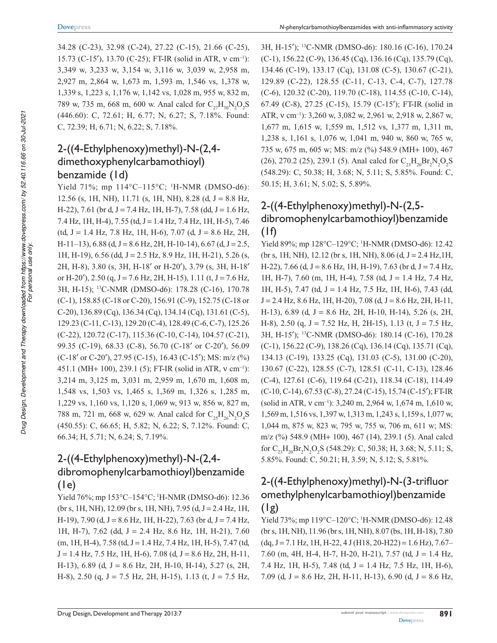34.28 (C-23), 32.98 (C-24), 27.22 (C-15), 21.66 (C-25), 15.73 (C-15'), 13.70 (C-25); FT-IR (solid in ATR, ν cm<sup>-1</sup>): 3,349 w, 3,233 w, 3,154 w, 3,116 w, 3,039 w, 2,958 m, 2,927 m, 2,864 w, 1,673 m, 1,593 m, 1,546 vs, 1,378 w, 1,339 s, 1,223 s, 1,176 w, 1,142 vs, 1,028 m, 955 w, 832 m, 789 w, 735 m, 668 m, 600 w. Anal calcd for  $C_{27}H_{30}N_2O_2S$ (446.60): C, 72.61; H, 6.77; N, 6.27; S, 7.18%. Found: C, 72.39; H, 6.71; N, 6.22; S, 7.18%.

# 2-((4-Ethylphenoxy)methyl)-N-(2,4dimethoxyphenylcarbamothioyl) benzamide (1d)

Yield 71%; mp 114°C-115°C; <sup>1</sup>H-NMR (DMSO-d6): 12.56 (s, 1H, NH), 11.71 (s, 1H, NH), 8.28 (d,  $J = 8.8$  Hz, H-22), 7.61 (br d, J = 7.4 Hz, 1H, H-7), 7.58 (dd, J = 1.6 Hz, 7.4 Hz, 1H, H-4), 7.55 (td, J = 1.4 Hz, 7.4 Hz, 1H, H-5), 7.46 (td, J = 1.4 Hz, 7.8 Hz, 1H, H-6), 7.07 (d, J = 8.6 Hz, 2H, H-11–13),  $6.88$  (d, J = 8.6 Hz, 2H, H-10-14),  $6.67$  (d, J = 2.5, 1H, H-19), 6.56 (dd, J = 2.5 Hz, 8.9 Hz, 1H, H-21), 5.26 (s, 2H, H-8), 3.80 (s, 3H, H-18′ or H-20′), 3.79 (s, 3H, H-18′ or H-20'), 2.50 (q, J = 7.6 Hz, 2H, H-15), 1.11 (t, J = 7.6 Hz, 3H, H-15); <sup>13</sup>C-NMR (DMSO-d6): 178.28 (C-16), 170.78 (C-1), 158.85 (C-18 or C-20), 156.91 (C-9), 152.75 (C-18 or C-20), 136.89 (Cq), 136.34 (Cq), 134.14 (Cq), 131.61 (C-5), 129.23 (C-11, C-13), 129.20 (C-4), 128.49 (C-6, C-7), 125.26 (C-22), 120.72 (C-17), 115.36 (C-10, C-14), 104.57 (C-21), 99.35 (C-19), 68.33 (C-8), 56.70 (C-18′ or C-20′), 56.09 (C-18′ or C-20′), 27.95 (C-15), 16.43 (C-15′); MS: m/z (%) 451.1 (MH+ 100), 239.1 (5); FT-IR (solid in ATR, ν cm<sup>-1</sup>): 3,214 m, 3,125 m, 3,031 m, 2,959 m, 1,670 m, 1,608 m, 1,548 vs, 1,503 vs, 1,465 s, 1,369 m, 1,326 s, 1,285 m, 1,229 vs, 1,160 vs, 1,120 s, 1,069 w, 913 w, 856 w, 827 m, 788 m, 721 m, 668 w, 629 w. Anal calcd for  $C_{25}H_{26}N_2O_4S$ (450.55): C, 66.65; H, 5.82; N, 6.22; S, 7.12%. Found: C, 66.34; H, 5.71; N, 6.24; S, 7.19%.

# 2-((4-Ethylphenoxy)methyl)-N-(2,4dibromophenylcarbamothioyl)benzamide  $(1e)$

Yield 76%; mp 153°C–154°C; <sup>1</sup>H-NMR (DMSO-d6): 12.36 (br s, 1H, NH), 12.09 (br s, 1H, NH), 7.95 (d, J = 2.4 Hz, 1H, H-19), 7.90 (d, J = 8.6 Hz, 1H, H-22), 7.63 (br d, J = 7.4 Hz, 1H, H-7), 7.62 (dd, J = 2.4 Hz, 8.6 Hz, 1H, H-21), 7.60  $(m, 1H, H-4), 7.58$  (td, J = 1.4 Hz, 7.4 Hz, 1H, H-5), 7.47 (td,  $J = 1.4$  Hz, 7.5 Hz, 1H, H-6), 7.08 (d,  $J = 8.6$  Hz, 2H, H-11, H-13), 6.89 (d, J = 8.6 Hz, 2H, H-10, H-14), 5.27 (s, 2H, H-8), 2.50 (q,  $J = 7.5$  Hz, 2H, H-15), 1.13 (t,  $J = 7.5$  Hz, 3H, H-15′); <sup>13</sup>C-NMR (DMSO-d6): 180.16 (C-16), 170.24 (C-1), 156.22 (C-9), 136.45 (Cq), 136.16 (Cq), 135.79 (Cq), 134.46 (C-19), 133.17 (Cq), 131.08 (C-5), 130.67 (C-21), 129.89 (C-22), 128.55 (C-11, C-13, C-4, C-7), 127.78 (C-6), 120.32 (C-20), 119.70 (C-18), 114.55 (C-10, C-14), 67.49 (C-8), 27.25 (C-15), 15.79 (C-15′); FT-IR (solid in ATR, v cm<sup>-1</sup>): 3,260 w, 3,082 w, 2,961 w, 2,918 w, 2,867 w, 1,677 m, 1,615 w, 1,559 m, 1,512 vs, 1,377 m, 1,311 m, 1,238 s, 1,161 s, 1,076 w, 1,041 m, 940 w, 860 w, 765 w, 735 w, 675 m, 605 w; MS: m/z (%) 548.9 (MH+ 100), 467 (26), 270.2 (25), 239.1 (5). Anal calcd for  $C_{23}H_{20}Br_2N_2O_2S$ (548.29): C, 50.38; H, 3.68; N, 5.11; S, 5.85%. Found: C, 50.15; H, 3.61; N, 5.02; S, 5.89%.

# 2-((4-Ethylphenoxy)methyl)-N-(2,5dibromophenylcarbamothioyl)benzamide  $(1f)$

Yield 89%; mp 128°C-129°C; <sup>1</sup>H-NMR (DMSO-d6): 12.42 (br s, 1H, NH), 12.12 (br s, 1H, NH), 8.06 (d,  $J = 2.4$  Hz, 1H, H-22), 7.66 (d,  $J = 8.6$  Hz, 1H, H-19), 7.63 (br d,  $J = 7.4$  Hz, 1H, H-7), 7.60 (m, 1H, H-4), 7.58 (td, J = 1.4 Hz, 7.4 Hz, 1H, H-5), 7.47 (td, J = 1.4 Hz, 7.5 Hz, 1H, H-6), 7.43 (dd,  $J = 2.4$  Hz, 8.6 Hz, 1H, H-20), 7.08 (d,  $J = 8.6$  Hz, 2H, H-11, H-13), 6.89 (d, J = 8.6 Hz, 2H, H-10, H-14), 5.26 (s, 2H, H-8), 2.50 (q,  $J = 7.52$  Hz, H, 2H-15), 1.13 (t,  $J = 7.5$  Hz, 3H, H-15′); <sup>13</sup>C-NMR (DMSO-d6): 180.14 (C-16), 170.28 (C-1), 156.22 (C-9), 138.26 (Cq), 136.14 (Cq), 135.71 (Cq), 134.13 (C-19), 133.25 (Cq), 131.03 (C-5), 131.00 (C-20), 130.67 (C-22), 128.55 (C-7), 128.51 (C-11, C-13), 128.46 (C-4), 127.61 (C-6), 119.64 (C-21), 118.34 (C-18), 114.49 (C-10, C-14), 67.53 (C-8), 27.24 (C-15), 15.74 (C-15′); FT-IR (solid in ATR, v cm<sup>-1</sup>): 3,240 m, 2,964 w, 1,674 m, 1,610 w, 1,569 m, 1,516 vs, 1,397 w, 1,313 m, 1,243 s, 1,159 s, 1,077 w, 1,044 m, 875 w, 823 w, 795 w, 755 w, 706 m, 611 w; MS: m/z (%) 548.9 (MH+ 100), 467 (14), 239.1 (5). Anal calcd for  $C_{23}H_{20}Br_2N_2O_2S$  (548.29): C, 50.38; H, 3.68; N, 5.11; S, 5.85%. Found: C, 50.21; H, 3.59; N, 5.12; S, 5.81%.

# 2-((4-Ethylphenoxy)methyl)-N-(3-trifluor omethylphenylcarbamothioyl)benzamide (1g)

Yield 73%; mp 119°C-120°C; <sup>1</sup>H-NMR (DMSO-d6): 12.48 (br s, 1H, NH), 11.96 (br s, 1H, NH), 8.07 (bs, 1H, H-18), 7.80  $(dq, J = 7.1 \text{ Hz}, 1H, H-22, 4 J (H18, 20-H22) = 1.6 \text{ Hz}, 7.67-$ 7.60 (m, 4H, H-4, H-7, H-20, H-21), 7.57 (td,  $J = 1.4$  Hz, 7.4 Hz, 1H, H-5), 7.48 (td, J = 1.4 Hz, 7.5 Hz, 1H, H-6), 7.09 (d,  $J = 8.6$  Hz, 2H, H-11, H-13), 6.90 (d,  $J = 8.6$  Hz,